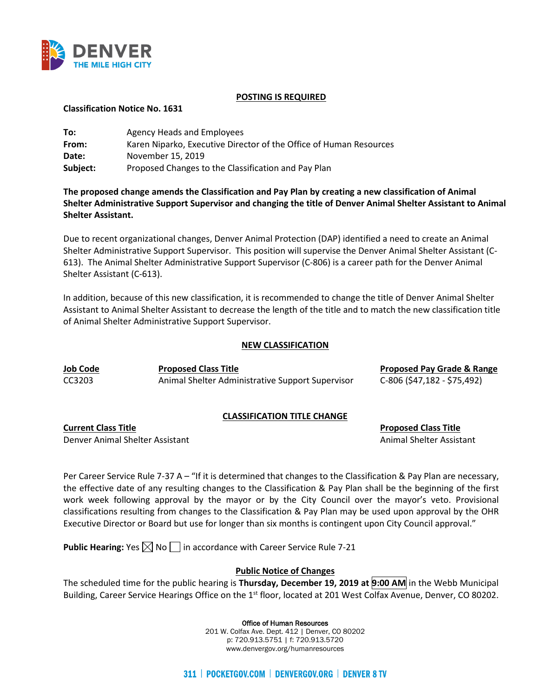

### **POSTING IS REQUIRED**

**Classification Notice No. 1631**

| To:      | Agency Heads and Employees                                         |
|----------|--------------------------------------------------------------------|
| From:    | Karen Niparko, Executive Director of the Office of Human Resources |
| Date:    | November 15, 2019                                                  |
| Subject: | Proposed Changes to the Classification and Pay Plan                |

**The proposed change amends the Classification and Pay Plan by creating a new classification of Animal Shelter Administrative Support Supervisor and changing the title of Denver Animal Shelter Assistant to Animal Shelter Assistant.**

Due to recent organizational changes, Denver Animal Protection (DAP) identified a need to create an Animal Shelter Administrative Support Supervisor. This position will supervise the Denver Animal Shelter Assistant (C-613). The Animal Shelter Administrative Support Supervisor (C-806) is a career path for the Denver Animal Shelter Assistant (C-613).

In addition, because of this new classification, it is recommended to change the title of Denver Animal Shelter Assistant to Animal Shelter Assistant to decrease the length of the title and to match the new classification title of Animal Shelter Administrative Support Supervisor.

# **NEW CLASSIFICATION**

**Job Code Proposed Class Title Proposed Pay Grade & Range** CC3203 Animal Shelter Administrative Support Supervisor C-806 (\$47,182 - \$75,492)

# **CLASSIFICATION TITLE CHANGE**

**Current Class Title Proposed Class Title** Denver Animal Shelter Assistant Animal Shelter Assistant Animal Shelter Assistant

Per Career Service Rule 7-37 A – "If it is determined that changes to the Classification & Pay Plan are necessary, the effective date of any resulting changes to the Classification & Pay Plan shall be the beginning of the first work week following approval by the mayor or by the City Council over the mayor's veto. Provisional classifications resulting from changes to the Classification & Pay Plan may be used upon approval by the OHR Executive Director or Board but use for longer than six months is contingent upon City Council approval."

**Public Hearing:** Yes  $\boxtimes$  No  $\Box$  in accordance with Career Service Rule 7-21

# **Public Notice of Changes**

The scheduled time for the public hearing is **Thursday, December 19, 2019 at 9:00 AM** in the Webb Municipal Building, Career Service Hearings Office on the 1<sup>st</sup> floor, located at 201 West Colfax Avenue, Denver, CO 80202.

### Office of Human Resources

201 W. Colfax Ave. Dept. 412 | Denver, CO 80202 p: 720.913.5751 | f: 720.913.5720 www.denvergov.org/humanresources